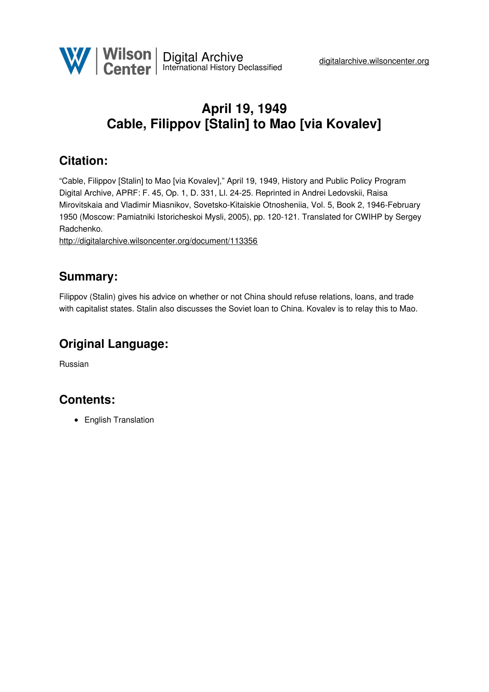

# **April 19, 1949 Cable, Filippov [Stalin] to Mao [via Kovalev]**

## **Citation:**

"Cable, Filippov [Stalin] to Mao [via Kovalev]," April 19, 1949, History and Public Policy Program Digital Archive, APRF: F. 45, Op. 1, D. 331, Ll. 24-25. Reprinted in Andrei Ledovskii, Raisa Mirovitskaia and Vladimir Miasnikov, Sovetsko-Kitaiskie Otnosheniia, Vol. 5, Book 2, 1946-February 1950 (Moscow: Pamiatniki Istoricheskoi Mysli, 2005), pp. 120-121. Translated for CWIHP by Sergey Radchenko.

<http://digitalarchive.wilsoncenter.org/document/113356>

#### **Summary:**

Filippov (Stalin) gives his advice on whether or not China should refuse relations, loans, and trade with capitalist states. Stalin also discusses the Soviet loan to China. Kovalev is to relay this to Mao.

### **Original Language:**

Russian

### **Contents:**

• English Translation